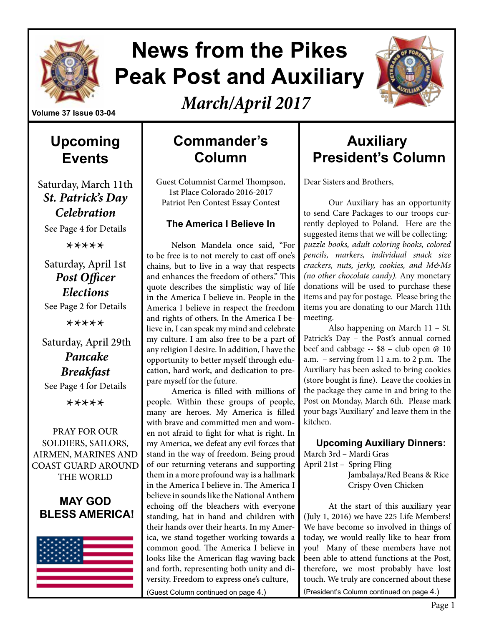

# **News from the Pikes Peak Post and Auxiliary**

*March/April 2017*



#### **Volume 37 Issue 03-04**

**Upcoming Events**

Saturday, March 11th *St. Patrick's Day Celebration* 

See Page 4 for Details

\*\*\*\*\*

Saturday, April 1st *Post Officer Elections* See Page 2 for Details

\*\*\*\*\*

# Saturday, April 29th *Pancake Breakfast*

See Page 4 for Details

\*\*\*\*\*

PRAY FOR OUR SOLDIERS, SAILORS, AIRMEN, MARINES AND COAST GUARD AROUND THE WORLD

#### **MAY GOD BLESS AMERICA!**



# **Commander's Column**

Guest Columnist Carmel Thompson, 1st Place Colorado 2016-2017 Patriot Pen Contest Essay Contest

#### **The America I Believe In**

Nelson Mandela once said, "For to be free is to not merely to cast off one's chains, but to live in a way that respects and enhances the freedom of others." This quote describes the simplistic way of life in the America I believe in. People in the America I believe in respect the freedom and rights of others. In the America I believe in, I can speak my mind and celebrate my culture. I am also free to be a part of any religion I desire. In addition, I have the opportunity to better myself through education, hard work, and dedication to prepare myself for the future.

America is filled with millions of people. Within these groups of people, many are heroes. My America is filled with brave and committed men and women not afraid to fight for what is right. In my America, we defeat any evil forces that stand in the way of freedom. Being proud of our returning veterans and supporting them in a more profound way is a hallmark in the America I believe in. The America I believe in sounds like the National Anthem echoing off the bleachers with everyone standing, hat in hand and children with their hands over their hearts. In my America, we stand together working towards a common good. The America I believe in looks like the American flag waving back and forth, representing both unity and diversity. Freedom to express one's culture, (Guest Column continued on page 4.)

# **Auxiliary President's Column**

Dear Sisters and Brothers,

Our Auxiliary has an opportunity to send Care Packages to our troops currently deployed to Poland. Here are the suggested items that we will be collecting: *puzzle books, adult coloring books, colored pencils, markers, individual snack size crackers, nuts, jerky, cookies, and M&Ms (no other chocolate candy).* Any monetary donations will be used to purchase these items and pay for postage. Please bring the items you are donating to our March 11th meeting.

Also happening on March 11 – St. Patrick's Day – the Post's annual corned beef and cabbage -- \$8 – club open @ 10 a.m. – serving from 11 a.m. to 2 p.m. The Auxiliary has been asked to bring cookies (store bought is fine). Leave the cookies in the package they came in and bring to the Post on Monday, March 6th. Please mark your bags 'Auxiliary' and leave them in the kitchen.

**Upcoming Auxiliary Dinners:**

March 3rd – Mardi Gras April 21st – Spring Fling

 Jambalaya/Red Beans & Rice Crispy Oven Chicken

At the start of this auxiliary year (July 1, 2016) we have 225 Life Members! We have become so involved in things of today, we would really like to hear from you! Many of these members have not been able to attend functions at the Post, therefore, we most probably have lost touch. We truly are concerned about these (President's Column continued on page 4.)

Page 1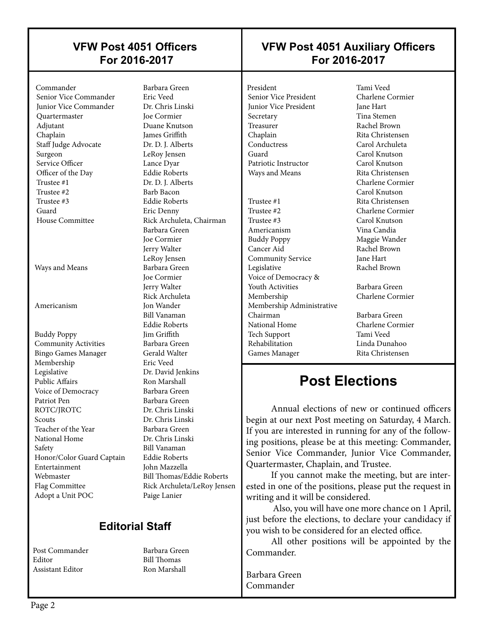#### **VFW Post 4051 Officers For 2016-2017**

#### Commander Barbara Green Senior Vice Commander Junior Vice Commander Dr. Chris Linski Quartermaster Joe Cormier Adjutant Duane Knutson Chaplain James Griffith Staff Judge Advocate Dr. D. J. Alberts Surgeon LeRoy Jensen Service Officer Lance Dyar Officer of the Day Eddie Roberts<br>
Trustee #1 Dr. D. I. Albert Trustee #1 Dr. D. J. Alberts<br>Trustee #2 Barb Bacon Trustee #3 Eddie Roberts Guard Eric Denny

 $\overline{\phantom{a}}$ 

Ways and Means Barbara Green

Buddy Poppy Jim Griffith Community Activities Barbara Green Bingo Games Manager **Gerald Walter**  Membership Eric Veed Legislative Dr. David Jenkins Public Affairs **Ron Marshall** Voice of Democracy Barbara Green Patriot Pen Barbara Green ROTC/IROTC Dr. Chris Linski Scouts Dr. Chris Linski Teacher of the Year Barbara Green National Home Dr. Chris Linski Safety Bill Vanaman Honor/Color Guard Captain Eddie Roberts Entertainment John Mazzella Webmaster Bill Thomas/Eddie Roberts Flag Committee Rick Archuleta/LeRoy Jensen Adopt a Unit POC Paige Lanier

Barb Bacon House Committee Rick Archuleta, Chairman Barbara Green Joe Cormier Jerry Walter LeRoy Jensen Joe Cormier Jerry Walter Rick Archuleta Americanism Jon Wander Bill Vanaman Eddie Roberts

#### **Editorial Staff**

Post Commander Barbara Green Editor Bill Thomas Assistant Editor **Ron Marshall** 

### **VFW Post 4051 Auxiliary Officers For 2016-2017**

President Tami Veed<br>
Senior Vice President Charlene Cormier Senior Vice President **Junior Vice President** Jane Hart Secretary Tina Stemen<br>Treasurer Rachel Brown Treasurer Rachel Brown<br>
Chaplain Rita Christens Conductress Carol Archuleta<br>Guard Carol Knutson Patriotic Instructor Carol Knutson Ways and Means Rita Christensen Trustee #1 Rita Christensen Trustee #2 Charlene Cormier Trustee #3 Carol Knutson

 $\overline{\phantom{a}}$ 

 Americanism Vina Candia Buddy Poppy Maggie Wander Cancer Aid Rachel Brown Community Service Legislative Rachel Brown Voice of Democracy & **Youth Activities** Barbara Green Membership Charlene Cormier Membership Administrative Chairman Barbara Green National Home Charlene Cormier Tech Support Tami Veed

Rita Christensen Carol Knutson Charlene Cormier Carol Knutson

Linda Dunahoo Games Manager Rita Christensen

# **Post Elections**

Annual elections of new or continued officers begin at our next Post meeting on Saturday, 4 March. If you are interested in running for any of the following positions, please be at this meeting: Commander, Senior Vice Commander, Junior Vice Commander, Quartermaster, Chaplain, and Trustee.

If you cannot make the meeting, but are interested in one of the positions, please put the request in writing and it will be considered.

 Also, you will have one more chance on 1 April, just before the elections, to declare your candidacy if you wish to be considered for an elected office.

All other positions will be appointed by the Commander.

Barbara Green Commander

 $\overline{\phantom{a}}$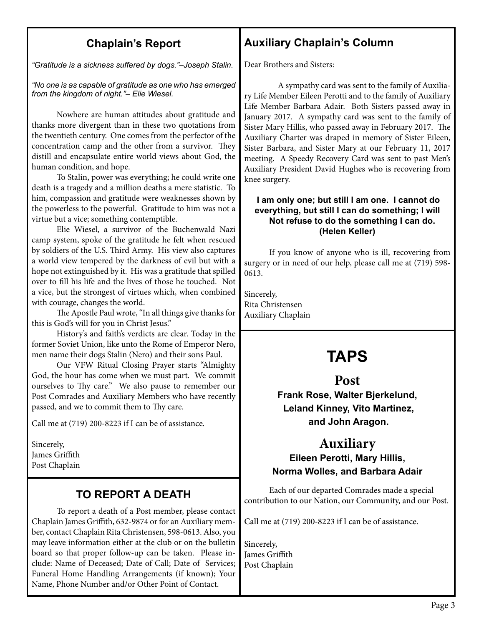#### **Chaplain's Report**

*"Gratitude is a sickness suffered by dogs."–Joseph Stalin.*

*"No one is as capable of gratitude as one who has emerged from the kingdom of night."– Elie Wiesel.*

Nowhere are human attitudes about gratitude and thanks more divergent than in these two quotations from the twentieth century. One comes from the perfector of the concentration camp and the other from a survivor. They distill and encapsulate entire world views about God, the human condition, and hope.

To Stalin, power was everything; he could write one death is a tragedy and a million deaths a mere statistic. To him, compassion and gratitude were weaknesses shown by the powerless to the powerful. Gratitude to him was not a virtue but a vice; something contemptible.

Elie Wiesel, a survivor of the Buchenwald Nazi camp system, spoke of the gratitude he felt when rescued by soldiers of the U.S. Third Army. His view also captures a world view tempered by the darkness of evil but with a hope not extinguished by it. His was a gratitude that spilled over to fill his life and the lives of those he touched. Not a vice, but the strongest of virtues which, when combined with courage, changes the world.

The Apostle Paul wrote, "In all things give thanks for this is God's will for you in Christ Jesus."

History's and faith's verdicts are clear. Today in the former Soviet Union, like unto the Rome of Emperor Nero, men name their dogs Stalin (Nero) and their sons Paul.

Our VFW Ritual Closing Prayer starts "Almighty God, the hour has come when we must part. We commit ourselves to Thy care." We also pause to remember our Post Comrades and Auxiliary Members who have recently passed, and we to commit them to Thy care.

Call me at (719) 200-8223 if I can be of assistance.

Sincerely, James Griffith Post Chaplain

## **TO REPORT A DEATH**

To report a death of a Post member, please contact Chaplain James Griffith, 632-9874 or for an Auxiliary member, contact Chaplain Rita Christensen, 598-0613. Also, you may leave information either at the club or on the bulletin board so that proper follow-up can be taken. Please include: Name of Deceased; Date of Call; Date of Services; Funeral Home Handling Arrangements (if known); Your Name, Phone Number and/or Other Point of Contact.

# **Auxiliary Chaplain's Column**

Dear Brothers and Sisters:

 A sympathy card was sent to the family of Auxiliary Life Member Eileen Perotti and to the family of Auxiliary Life Member Barbara Adair. Both Sisters passed away in January 2017. A sympathy card was sent to the family of Sister Mary Hillis, who passed away in February 2017. The Auxiliary Charter was draped in memory of Sister Eileen, Sister Barbara, and Sister Mary at our February 11, 2017 meeting. A Speedy Recovery Card was sent to past Men's Auxiliary President David Hughes who is recovering from knee surgery.

#### **I am only one; but still I am one. I cannot do everything, but still I can do something; I will Not refuse to do the something I can do. (Helen Keller)**

If you know of anyone who is ill, recovering from surgery or in need of our help, please call me at (719) 598- 0613.

Sincerely, Rita Christensen Auxiliary Chaplain

# **TAPS**

#### **Post**

#### **Frank Rose, Walter Bjerkelund, Leland Kinney, Vito Martinez, and John Aragon.**

#### **Auxiliary Eileen Perotti, Mary Hillis,**

#### **Norma Wolles, and Barbara Adair**

Each of our departed Comrades made a special contribution to our Nation, our Community, and our Post.

Call me at (719) 200-8223 if I can be of assistance.

Sincerely, James Griffith Post Chaplain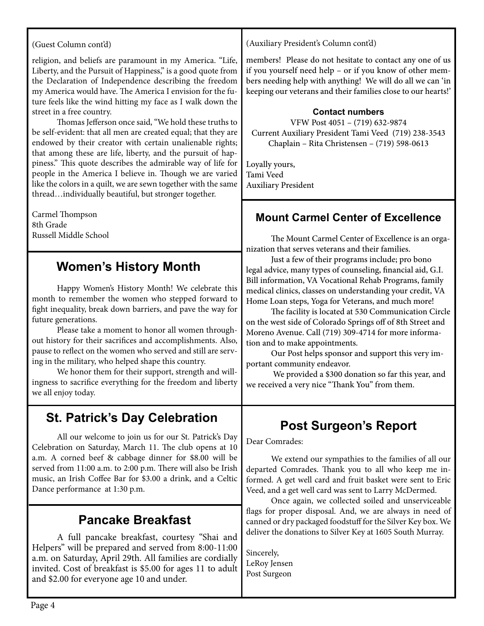#### (Guest Column cont'd)

religion, and beliefs are paramount in my America. "Life, Liberty, and the Pursuit of Happiness," is a good quote from the Declaration of Independence describing the freedom my America would have. The America I envision for the future feels like the wind hitting my face as I walk down the street in a free country.

Thomas Jefferson once said, "We hold these truths to be self-evident: that all men are created equal; that they are endowed by their creator with certain unalienable rights; that among these are life, liberty, and the pursuit of happiness." This quote describes the admirable way of life for people in the America I believe in. Though we are varied like the colors in a quilt, we are sewn together with the same thread…individually beautiful, but stronger together.

Carmel Thompson 8th Grade Russell Middle School

# **Women's History Month**

Happy Women's History Month! We celebrate this month to remember the women who stepped forward to fight inequality, break down barriers, and pave the way for future generations.

Please take a moment to honor all women throughout history for their sacrifices and accomplishments. Also, pause to reflect on the women who served and still are serving in the military, who helped shape this country.

We honor them for their support, strength and willingness to sacrifice everything for the freedom and liberty we all enjoy today.

### **St. Patrick's Day Celebration**

All our welcome to join us for our St. Patrick's Day Celebration on Saturday, March 11. The club opens at 10 a.m. A corned beef & cabbage dinner for \$8.00 will be served from 11:00 a.m. to 2:00 p.m. There will also be Irish music, an Irish Coffee Bar for \$3.00 a drink, and a Celtic Dance performance at 1:30 p.m.

### **Pancake Breakfast**

 A full pancake breakfast, courtesy "Shai and Helpers" will be prepared and served from 8:00-11:00 a.m. on Saturday, April 29th. All families are cordially invited. Cost of breakfast is \$5.00 for ages 11 to adult and \$2.00 for everyone age 10 and under.

(Auxiliary President's Column cont'd)

members! Please do not hesitate to contact any one of us if you yourself need help – or if you know of other members needing help with anything! We will do all we can 'in keeping our veterans and their families close to our hearts!'

#### **Contact numbers**

VFW Post 4051 – (719) 632-9874 Current Auxiliary President Tami Veed (719) 238-3543 Chaplain – Rita Christensen – (719) 598-0613

Loyally yours, Tami Veed Auxiliary President

 $\overline{a}$ 

#### **Mount Carmel Center of Excellence**

The Mount Carmel Center of Excellence is an organization that serves veterans and their families.

Just a few of their programs include; pro bono legal advice, many types of counseling, financial aid, G.I. Bill information, VA Vocational Rehab Programs, family medical clinics, classes on understanding your credit, VA Home Loan steps, Yoga for Veterans, and much more!

The facility is located at 530 Communication Circle on the west side of Colorado Springs off of 8th Street and Moreno Avenue. Call (719) 309-4714 for more information and to make appointments.

Our Post helps sponsor and support this very important community endeavor.

 We provided a \$300 donation so far this year, and we received a very nice "Thank You" from them.

# **Post Surgeon's Report**

Dear Comrades:

We extend our sympathies to the families of all our departed Comrades. Thank you to all who keep me informed. A get well card and fruit basket were sent to Eric Veed, and a get well card was sent to Larry McDermed.

Once again, we collected soiled and unserviceable flags for proper disposal. And, we are always in need of canned or dry packaged foodstuff for the Silver Key box. We deliver the donations to Silver Key at 1605 South Murray.

Sincerely, LeRoy Jensen Post Surgeon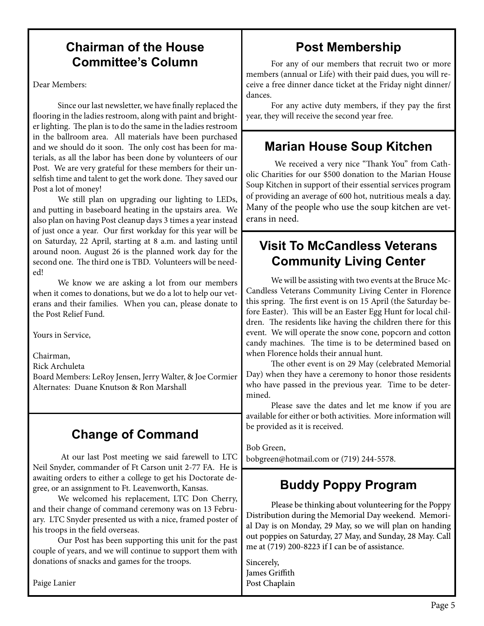# **Chairman of the House Committee's Column**

Dear Members:

Since our last newsletter, we have finally replaced the flooring in the ladies restroom, along with paint and brighter lighting. The plan is to do the same in the ladies restroom in the ballroom area. All materials have been purchased and we should do it soon. The only cost has been for materials, as all the labor has been done by volunteers of our Post. We are very grateful for these members for their unselfish time and talent to get the work done. They saved our Post a lot of money!

We still plan on upgrading our lighting to LEDs, and putting in baseboard heating in the upstairs area. We also plan on having Post cleanup days 3 times a year instead of just once a year. Our first workday for this year will be on Saturday, 22 April, starting at 8 a.m. and lasting until around noon. August 26 is the planned work day for the second one. The third one is TBD. Volunteers will be needed!

We know we are asking a lot from our members when it comes to donations, but we do a lot to help our veterans and their families. When you can, please donate to the Post Relief Fund.

Yours in Service,

Chairman,

Rick Archuleta

Board Members: LeRoy Jensen, Jerry Walter, & Joe Cormier Alternates: Duane Knutson & Ron Marshall

# **Change of Command**

 At our last Post meeting we said farewell to LTC Neil Snyder, commander of Ft Carson unit 2-77 FA. He is awaiting orders to either a college to get his Doctorate degree, or an assignment to Ft. Leavenworth, Kansas.

We welcomed his replacement, LTC Don Cherry, and their change of command ceremony was on 13 February. LTC Snyder presented us with a nice, framed poster of his troops in the field overseas.

Our Post has been supporting this unit for the past couple of years, and we will continue to support them with donations of snacks and games for the troops.

Paige Lanier

# **Post Membership**

For any of our members that recruit two or more members (annual or Life) with their paid dues, you will receive a free dinner dance ticket at the Friday night dinner/ dances.

For any active duty members, if they pay the first year, they will receive the second year free.

# **Marian House Soup Kitchen**

We received a very nice "Thank You" from Catholic Charities for our \$500 donation to the Marian House Soup Kitchen in support of their essential services program of providing an average of 600 hot, nutritious meals a day. Many of the people who use the soup kitchen are veterans in need.

# **Visit To McCandless Veterans Community Living Center**

We will be assisting with two events at the Bruce Mc-Candless Veterans Community Living Center in Florence this spring. The first event is on 15 April (the Saturday before Easter). This will be an Easter Egg Hunt for local children. The residents like having the children there for this event. We will operate the snow cone, popcorn and cotton candy machines. The time is to be determined based on when Florence holds their annual hunt.

The other event is on 29 May (celebrated Memorial Day) when they have a ceremony to honor those residents who have passed in the previous year. Time to be determined.

Please save the dates and let me know if you are available for either or both activities. More information will be provided as it is received.

Bob Green,

bobgreen@hotmail.com or (719) 244-5578.

# **Buddy Poppy Program**

Please be thinking about volunteering for the Poppy Distribution during the Memorial Day weekend. Memorial Day is on Monday, 29 May, so we will plan on handing out poppies on Saturday, 27 May, and Sunday, 28 May. Call me at (719) 200-8223 if I can be of assistance.

Sincerely, James Griffith  Post Chaplain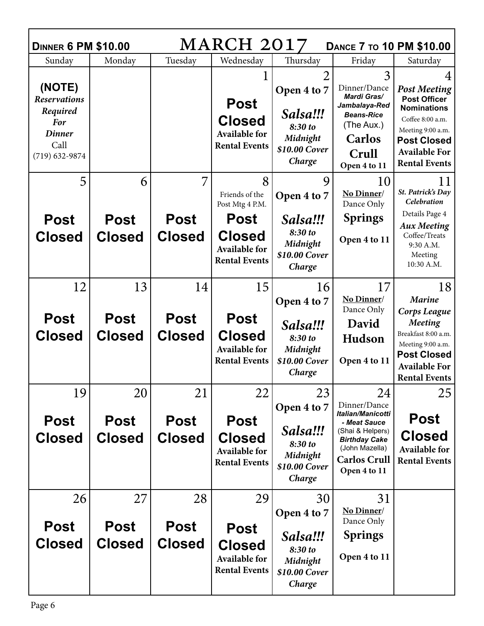| <b>MARCH 2017</b><br><b>DANCE 7 TO 10 PM \$10.00</b><br><b>DINNER 6 PM \$10.00</b>              |                                    |                                    |                                                                                    |                                                                                             |                                                                                                                                                              |                                                                                                                                                                                 |  |  |  |  |
|-------------------------------------------------------------------------------------------------|------------------------------------|------------------------------------|------------------------------------------------------------------------------------|---------------------------------------------------------------------------------------------|--------------------------------------------------------------------------------------------------------------------------------------------------------------|---------------------------------------------------------------------------------------------------------------------------------------------------------------------------------|--|--|--|--|
| Sunday                                                                                          | Monday                             | Tuesday                            | Wednesday                                                                          | Thursday                                                                                    | Friday                                                                                                                                                       | Saturday                                                                                                                                                                        |  |  |  |  |
| (NOTE)<br><b>Reservations</b><br>Required<br>For<br><b>Dinner</b><br>Call<br>$(719) 632 - 9874$ |                                    |                                    | <b>Post</b><br><b>Closed</b><br><b>Available for</b><br><b>Rental Events</b>       | $\overline{2}$<br>Open 4 to 7<br>Salsa!!!<br>8:30 to<br>Midnight<br>\$10.00 Cover<br>Charge | 3<br>Dinner/Dance<br>Mardi Gras/<br>Jambalaya-Red<br><b>Beans-Rice</b><br>(The Aux.)<br><b>Carlos</b><br>Crull<br>Open 4 to 11                               | <b>Post Meeting</b><br><b>Post Officer</b><br><b>Nominations</b><br>Coffee 8:00 a.m.<br>Meeting 9:00 a.m.<br><b>Post Closed</b><br><b>Available For</b><br><b>Rental Events</b> |  |  |  |  |
| 5                                                                                               | 6                                  |                                    | 8<br>Friends of the<br>Post Mtg 4 P.M.                                             | 9<br>Open 4 to 7                                                                            | 10<br>No Dinner/<br>Dance Only                                                                                                                               | 11<br>St. Patrick's Day<br>Celebration<br>Details Page 4                                                                                                                        |  |  |  |  |
| <b>Post</b><br><b>Closed</b>                                                                    | <b>Post</b><br><b>Closed</b>       | <b>Post</b><br><b>Closed</b>       | <b>Post</b><br><b>Closed</b><br><b>Available for</b><br><b>Rental Events</b>       | Salsa!!!<br>8:30 to<br>Midnight<br>\$10.00 Cover<br>Charge                                  | <b>Springs</b><br>Open 4 to 11                                                                                                                               | <b>Aux Meeting</b><br>Coffee/Treats<br>9:30 A.M.<br>Meeting<br>10:30 A.M.                                                                                                       |  |  |  |  |
| 12<br><b>Post</b><br><b>Closed</b>                                                              | 13<br><b>Post</b><br><b>Closed</b> | 14<br><b>Post</b><br><b>Closed</b> | 15<br><b>Post</b><br><b>Closed</b><br><b>Available for</b><br><b>Rental Events</b> | 16<br>Open 4 to 7<br>Salsa!!!<br>8:30 to<br>Midnight<br>\$10.00 Cover<br>Charge             | 17<br>No Dinner/<br>Dance Only<br>David<br><b>Hudson</b><br>Open 4 to 11                                                                                     | 18<br><b>Marine</b><br>Corps League<br><b>Meeting</b><br>Breakfast 8:00 a.m.<br>Meeting 9:00 a.m.<br><b>Post Closed</b><br><b>Available For</b><br><b>Rental Events</b>         |  |  |  |  |
| 19<br><b>Post</b><br><b>Closed</b>                                                              | 20<br><b>Post</b><br><b>Closed</b> | 21<br><b>Post</b><br><b>Closed</b> | 22<br><b>Post</b><br><b>Closed</b><br><b>Available for</b><br><b>Rental Events</b> | 23<br>Open 4 to 7<br>Salsa!!!<br>8:30 to<br>Midnight<br>\$10.00 Cover<br>Charge             | 24<br>Dinner/Dance<br>Italian/Manicotti<br>- Meat Sauce<br>(Shai & Helpers)<br><b>Birthday Cake</b><br>(John Mazella)<br><b>Carlos Crull</b><br>Open 4 to 11 | 25<br><b>Post</b><br><b>Closed</b><br><b>Available for</b><br><b>Rental Events</b>                                                                                              |  |  |  |  |
| 26<br><b>Post</b><br><b>Closed</b>                                                              | 27<br><b>Post</b><br><b>Closed</b> | 28<br><b>Post</b><br><b>Closed</b> | 29<br><b>Post</b><br><b>Closed</b><br><b>Available for</b><br><b>Rental Events</b> | 30<br>Open 4 to 7<br>Salsa!!!<br>8:30 to<br>Midnight<br>\$10.00 Cover<br>Charge             | 31<br>No Dinner/<br>Dance Only<br><b>Springs</b><br>Open 4 to 11                                                                                             |                                                                                                                                                                                 |  |  |  |  |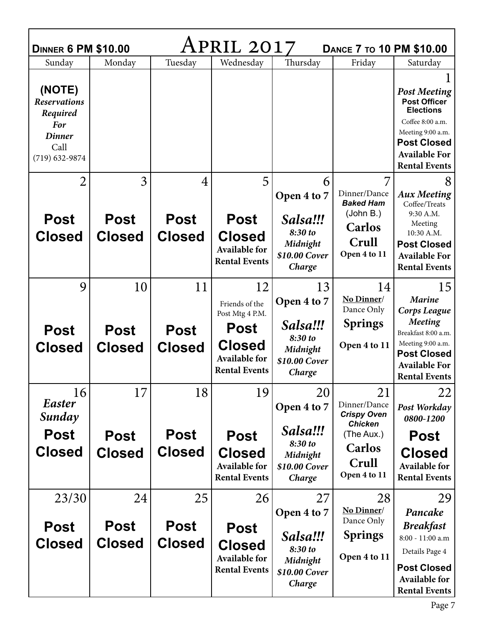| APRIL 2017<br><b>DINNER 6 PM \$10.00</b><br><b>DANCE 7 TO 10 PM \$10.00</b>                            |                                    |                                    |                                                                              |                                                            |                                                                        |                                                                                                                                                                               |  |  |  |  |
|--------------------------------------------------------------------------------------------------------|------------------------------------|------------------------------------|------------------------------------------------------------------------------|------------------------------------------------------------|------------------------------------------------------------------------|-------------------------------------------------------------------------------------------------------------------------------------------------------------------------------|--|--|--|--|
| Sunday                                                                                                 | Monday                             | Tuesday                            | Wednesday                                                                    | Thursday                                                   | Friday                                                                 | Saturday                                                                                                                                                                      |  |  |  |  |
| (NOTE)<br><b>Reservations</b><br>Required<br><b>For</b><br><b>Dinner</b><br>Call<br>$(719) 632 - 9874$ |                                    |                                    |                                                                              |                                                            |                                                                        | <b>Post Meeting</b><br><b>Post Officer</b><br><b>Elections</b><br>Coffee 8:00 a.m.<br>Meeting 9:00 a.m.<br><b>Post Closed</b><br><b>Available For</b><br><b>Rental Events</b> |  |  |  |  |
| $\overline{2}$                                                                                         | 3                                  | $\overline{4}$                     | 5                                                                            | 6                                                          |                                                                        | 8                                                                                                                                                                             |  |  |  |  |
|                                                                                                        |                                    |                                    |                                                                              | Open 4 to 7                                                | Dinner/Dance<br><b>Baked Ham</b>                                       | <b>Aux Meeting</b><br>Coffee/Treats                                                                                                                                           |  |  |  |  |
| <b>Post</b><br><b>Closed</b>                                                                           | <b>Post</b><br><b>Closed</b>       | <b>Post</b><br><b>Closed</b>       | <b>Post</b><br><b>Closed</b><br><b>Available for</b><br><b>Rental Events</b> | Salsa!!!<br>8:30 to<br>Midnight<br>\$10.00 Cover<br>Charge | (John B.)<br><b>Carlos</b><br>Crull<br>Open 4 to 11                    | 9:30 A.M.<br>Meeting<br>10:30 A.M.<br><b>Post Closed</b><br><b>Available For</b><br><b>Rental Events</b>                                                                      |  |  |  |  |
| 9                                                                                                      | 10                                 | 11                                 | 12<br>Friends of the<br>Post Mtg 4 P.M.                                      | 13<br>Open 4 to 7                                          | 14<br>No Dinner/<br>Dance Only                                         | 15<br><b>Marine</b><br>Corps League                                                                                                                                           |  |  |  |  |
| <b>Post</b>                                                                                            | <b>Post</b>                        | <b>Post</b>                        | <b>Post</b>                                                                  | Salsa!!!                                                   | <b>Springs</b>                                                         | Meeting<br>Breakfast 8:00 a.m.                                                                                                                                                |  |  |  |  |
| <b>Closed</b>                                                                                          | <b>Closed</b>                      | <b>Closed</b>                      | <b>Closed</b><br><b>Available for</b><br><b>Rental Events</b>                | 8:30 to<br>Midnight<br>\$10.00 Cover<br>Charge             | Open 4 to 11                                                           | Meeting 9:00 a.m.<br><b>Post Closed</b><br><b>Available For</b><br><b>Rental Events</b>                                                                                       |  |  |  |  |
| 16                                                                                                     | 17                                 | 18                                 | 19                                                                           |                                                            |                                                                        |                                                                                                                                                                               |  |  |  |  |
| Easter                                                                                                 |                                    |                                    |                                                                              | 20                                                         | 21                                                                     | 22                                                                                                                                                                            |  |  |  |  |
|                                                                                                        |                                    |                                    |                                                                              | Open 4 to 7                                                | Dinner/Dance<br><b>Crispy Oven</b>                                     | Post Workday                                                                                                                                                                  |  |  |  |  |
| Sunday<br><b>Post</b><br><b>Closed</b>                                                                 | <b>Post</b><br><b>Closed</b>       | <b>Post</b><br><b>Closed</b>       | <b>Post</b><br><b>Closed</b><br><b>Available for</b><br><b>Rental Events</b> | Salsa!!!<br>8:30 to<br>Midnight<br>\$10.00 Cover<br>Charge | <b>Chicken</b><br>(The Aux.)<br><b>Carlos</b><br>Crull<br>Open 4 to 11 | 0800-1200<br><b>Post</b><br><b>Closed</b><br><b>Available for</b><br><b>Rental Events</b>                                                                                     |  |  |  |  |
|                                                                                                        |                                    |                                    |                                                                              |                                                            |                                                                        |                                                                                                                                                                               |  |  |  |  |
| 23/30<br><b>Post</b><br><b>Closed</b>                                                                  | 24<br><b>Post</b><br><b>Closed</b> | 25<br><b>Post</b><br><b>Closed</b> | 26<br><b>Post</b>                                                            | 27<br>Open 4 to 7<br>Salsa!!!                              | 28<br>No Dinner/<br>Dance Only<br><b>Springs</b>                       | 29<br>Pancake<br><b>Breakfast</b><br>8:00 - 11:00 a.m                                                                                                                         |  |  |  |  |

г